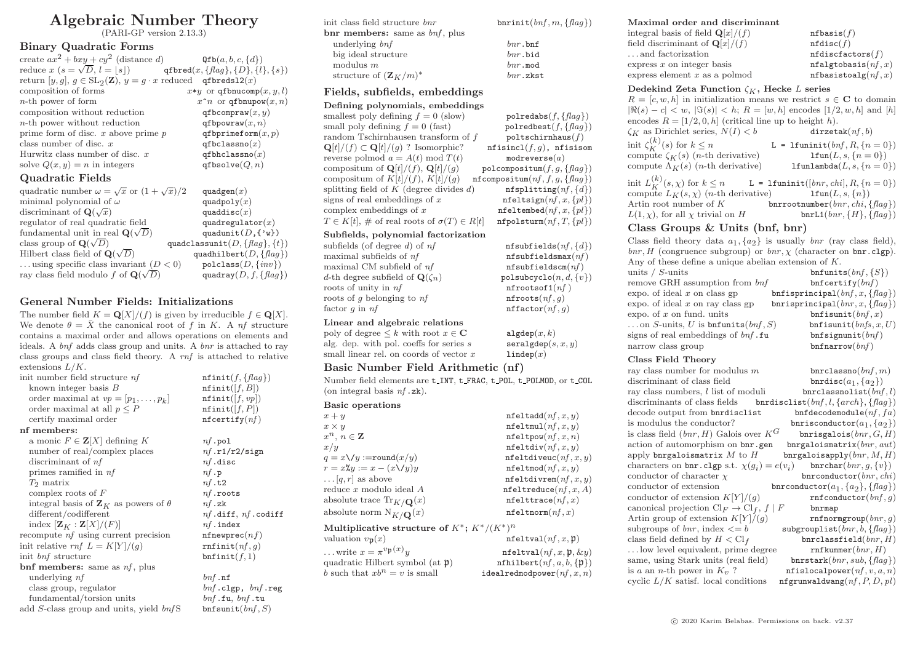# Algebraic Number Theory

(PARI-GP version 2.13.3)

#### Binary Quadratic Forms

| create $ax^2 + bxy + cy^2$ (distance d)                                          | $\mathsf{Qfb}(a, b, c, \{d\})$             |
|----------------------------------------------------------------------------------|--------------------------------------------|
| reduce $x (s = \sqrt{D}, l =  s )$ q f bred $(x, \{flag\}, \{D\}, \{l\}, \{s\})$ |                                            |
| return $[y, g], g \in SL_2(\mathbb{Z}), y = g \cdot x$ reduced qfbreds12(x)      |                                            |
| composition of forms                                                             | $x*y$ or qfbnucomp $(x, y, l)$             |
| $n$ -th power of form                                                            | $x \nightharpoonup n$ or qfbnupow $(x, n)$ |
| composition without reduction                                                    | qfbcompraw $(x, y)$                        |
| $n$ -th power without reduction                                                  | qfbpowraw $(x, n)$                         |
| prime form of disc. $x$ above prime $p$                                          | qfbprimeform $(x, p)$                      |
| class number of disc. $x$                                                        | qfbclassno $(x)$                           |
| Hurwitz class number of disc. $x$                                                | qfbhclassno $(x)$                          |
| solve $Q(x, y) = n$ in integers                                                  | qfbsolve $(Q, n)$                          |
| Quadratic Fields                                                                 |                                            |
| quadratic number $\omega = \sqrt{x}$ or $(1 + \sqrt{x})/2$                       | quadgen $(x)$                              |

| minimal polynomial of $\omega$                     | quadpoly $(x)$                            |
|----------------------------------------------------|-------------------------------------------|
| discriminant of $\mathbf{Q}(\sqrt{x})$             | quaddisc $(x)$                            |
| regulator of real quadratic field                  | quadregulator $(x)$                       |
| fundamental unit in real $\mathbf{Q}(\sqrt{D})$    | quadunit $(D, \{ 'w \})$                  |
| class group of $\mathbf{Q}(\sqrt{D})$              | quadclassunit( $D$ , { $flag$ }, { $t$ }) |
| Hilbert class field of $\mathbf{Q}(\sqrt{D})$      | quadhilbert $(D, \{flag\})$               |
| using specific class invariant $(D < 0)$           | $polclass(D, \{inv\})$                    |
| ray class field modulo f of $\mathbf{Q}(\sqrt{D})$ | quadray $(D, f, \{flag\})$                |

## General Number Fields: Initializations

The number field  $K = \mathbf{Q}[X]/(f)$  is given by irreducible  $f \in \mathbf{Q}[X]$ . We denote  $\theta = \bar{X}$  the canonical root of f in K. A nf structure contains a maximal order and allows operations on elements and ideals. A bnf adds class group and units. A bnr is attached to ray class groups and class field theory. A rnf is attached to relative extensions L/K.

| init number field structure nf                         | $\texttt{nfinit}(f, \{flag\})$ |
|--------------------------------------------------------|--------------------------------|
| known integer basis B                                  | $\texttt{nfinit}( f, B )$      |
| order maximal at $vp = [p_1, \ldots, p_k]$             | $\texttt{nfinit}([f, vp])$     |
| order maximal at all $p \leq P$                        | $\texttt{nfinit}( f, P )$      |
| certify maximal order                                  | $\texttt{nf}$ certify $(nf)$   |
| nf members:                                            |                                |
| a monic $F \in \mathbf{Z}[X]$ defining K               | $nf$ .pol                      |
| number of real/complex places                          | nf.r1/r2/sign                  |
| discriminant of <i>nf</i>                              | $nf$ .disc                     |
| primes ramified in $nf$                                | $nf \cdot p$                   |
| $T_2$ matrix                                           | nf.t2                          |
| complex roots of $F$                                   | $nf$ .roots                    |
| integral basis of $\mathbf{Z}_K$ as powers of $\theta$ | $nf$ .zk                       |
| different/codifferent                                  | $nf$ .diff, $nf$ .codiff       |
| index $[\mathbf{Z}_K : \mathbf{Z}[X]/(F)]$             | $nf$ .index                    |
| recompute <i>nf</i> using current precision            | nfnewprec(nf)                  |
| init relative rnf $L = K[Y]/(q)$                       | $\texttt{rnfinite}(nf, g)$     |
| init <i>bnf</i> structure                              | bnfinite(f,1)                  |
| bnf members: same as $nf$ , plus                       |                                |
| underlying nf                                          | $bnf$ .nf                      |
| class group, regulator                                 | $bnf$ .clgp, $bnf$ .reg        |
| fundamental/torsion units                              | $bnf$ .fu, $bnf$ .tu           |
| add S-class group and units, yield bnfS                | $\texttt{bnfsumit}(bnf, S)$    |

| init class field structure bnr                        | $b$ nrinit $(bnf, m,$ |
|-------------------------------------------------------|-----------------------|
| $\mathbf{b}$ m members: same as $\mathit{bnf}$ , plus |                       |
| underlying bnf                                        | $bnr$ , bnf           |
| big ideal structure                                   | $bnr$ . bid           |
| modulus $m$                                           | $bnr$ . mod           |
| structure of $(\mathbf{Z}_K/m)^*$                     | $bnr$ .zkst           |

## Fields, subfields, embeddings

| Defining polynomials, embeddings                            |                                                |
|-------------------------------------------------------------|------------------------------------------------|
| smallest poly defining $f = 0$ (slow)                       | polredabs( $f, \{flag\}$ )                     |
| small poly defining $f = 0$ (fast)                          | polredbest $(f, \{flag\})$                     |
| random Tschirnhausen transform of $f$                       | poltschirnhaus(f)                              |
| $\mathbf{Q}[t]/(f) \subset \mathbf{Q}[t]/(g)$ ? Isomorphic? | $\texttt{nfisincl}(f,g)$ , $\texttt{nfisisom}$ |
| reverse polmod $a = A(t) \bmod T(t)$                        | modreverse(a)                                  |
| compositum of $\mathbf{Q}[t]/(f)$ , $\mathbf{Q}[t]/(q)$     | polcompositum $(f, q, \{flag\})$               |
| compositum of $K[t]/(f)$ , $K[t]/(q)$                       | nfcompositum $(nf, f, g, \{flag\})$            |
| splitting field of $K$ (degree divides $d$ )                | $\texttt{nfsplitting}(nf, \{d\})$              |
| signs of real embeddings of $x$                             | $\texttt{nfeltsign}(nf, x, \{pl\})$            |
| complex embeddings of $x$                                   | $nfeltembed(nf, x, {pl})$                      |
| $T \in K[t], \#$ of real roots of $\sigma(T) \in R[t]$      | $nfpolsturm(nf, T, \{pl\})$                    |
|                                                             |                                                |

#### Subfields, polynomial factorization

subfields (of degree d) of  $nf$  nfsubfields( $nf$ ,  $\{d\}$ ) maximal subfields of  $nf$  nfsubfieldsmax $(nf)$ maximal CM subfield of  $nf$  nfsubfieldscm $(nf)$ d-th degree subfield of  $\mathbf{Q}(\zeta_n)$  polsubcyclo $(n, d, \{v\})$ <br>roots of unity in  $n f$  **polyarity provided provided provided provided provided provided provided provided provided provided provided pro** roots of unity in  $nf$ roots of g belonging to  $nf$  nfroots $(nf, g)$ factor g in  $nf$  nffactor $(nf, g)$ 

#### Linear and algebraic relations

poly of degree  $\leq k$  with root  $x \in \mathbb{C}$  algdep $(x, k)$ alg. dep. with pol. coeffs for series s seralgdep(s, x, y) small linear rel. on coords of vector  $x$  lindep(x)

## Basic Number Field Arithmetic (nf)

Number field elements are  $t$ \_INT,  $t$ \_FRAC,  $t$ \_POL,  $t$ \_POLMOD, or  $t$ \_COL (on integral basis  $nf \cdot zk$ ).

## Basic operations

| $x + y$                                      | nfeltadd(nf, x, y)            |
|----------------------------------------------|-------------------------------|
| $x \times y$                                 | $\texttt{nfeltmul}(nf, x, y)$ |
| $x^n, n \in \mathbb{Z}$                      | $\texttt{nfeltpow}(nf, x, n)$ |
| x/y                                          | $\texttt{nfeltdiv}(nf, x, y)$ |
| $q = x \setminus y := \text{round}(x/y)$     | nfeltdiveuc $(nf, x, y)$      |
| $r = x\mathcal{H}y := x - (x\sqrt{y})y$      | nfeltmod(nf, x, y)            |
| $\ldots$ [q, r] as above                     | nfeltdivrem(nf, x, y)         |
| reduce $x$ modulo ideal $A$                  | nfeltreduce(nf, x, A)         |
| absolute trace $\text{Tr}_{K/\mathbf{Q}}(x)$ | $nf$ elttrace $(nf, x)$       |
| absolute norm $N_{K/\mathbf{Q}}(x)$          | $n$ feltnorm $(nf, x)$        |
|                                              |                               |

## Multiplicative structure of  $K^*$ ;  $K^*/(K^*)^n$

| $\texttt{nfeltval}(nf, x, \mathfrak{p})$      |
|-----------------------------------------------|
| $\texttt{nfeltval}(nf, x, \mathfrak{p}, \&y)$ |
| $\texttt{nfhilbert}(nf, a, b, \{p\})$         |
| idealredmodpower $(nf, x, n)$                 |
|                                               |

| flag) | Maximal order       |  |  |
|-------|---------------------|--|--|
|       | integral basis of f |  |  |
|       |                     |  |  |

#### and discriminant field  $\mathbf{O}[x]/(f)$  nfbasis(f)

| $\frac{1}{2}$                             |                        |
|-------------------------------------------|------------------------|
| field discriminant of $\mathbf{Q}[x]/(f)$ | nfdisc(f)              |
| and factorization                         | nfdistactors(f)        |
| express $x$ on integer basis              | nfalgtobasis(nf, x)    |
| express element $x$ as a polmod           | nfbasistoalg $(nf, x)$ |

#### Dedekind Zeta Function  $\zeta_K$ , Hecke L series

 $R = [c, w, h]$  in initialization means we restrict  $s \in \mathbb{C}$  to domain  $|\Re(s) - c| < w, |\Im(s)| < h; R = [w, h]$  encodes  $[1/2, w, h]$  and  $[h]$ encodes  $R = [1/2, 0, h]$  (critical line up to height h).  $\zeta_K$  as Dirichlet series,  $N(I) < b$  dirzetak $(n, b)$ init  $\zeta_K^{(k)}$ L = lfuninit $(bnf, R, \{n = 0\})$ <br>lfun $(L, s, \{n = 0\})$ compute  $\zeta_K(s)$  (*n*-th derivative) lfun(L, s, {n = 0})<br>compute  $\Lambda_K(s)$  (*n*-th derivative) lfunlambda(L, s, {n = 0}) compute  $\Lambda_K(s)$  (*n*-th derivative) init  $L_K^{(k)}$ L = lfuninit([bnr, chi], R, {n = 0})<br>  $\text{Hun}(L, s, \{n\})$ compute  $L_K(s, \chi)$  (*n*-th derivative)<br>Artin root number of K bnrrootnumber $(bnr, chi, \{flag\})$ <br>bnrL1 $(bnr, \{H\}, \{flag\})$  $L(1, \gamma)$ , for all  $\gamma$  trivial on H

## Class Groups & Units (bnf, bnr)

| Class field theory data $a_1, \{a_2\}$ is usually <i>bnr</i> (ray class field),              |                                     |
|----------------------------------------------------------------------------------------------|-------------------------------------|
| bnr, H (congruence subgroup) or $\mathit{bnr}$ , $\chi$ (character on $\mathit{bnr}$ .clgp). |                                     |
| Any of these define a unique abelian extension of $K$ .                                      |                                     |
| units $/ S$ -units                                                                           | $bn$ funits $(bnf, \{S\})$          |
| remove GRH assumption from bnf                                                               | bnfectify(bnf)                      |
| expo. of ideal $x$ on class gp                                                               | bnfisprincipal $(bnf, x, \{flag\})$ |
| $\exp$ . of ideal x on ray class gp                                                          | bnrisprincipal $(bnr, x, \{flag\})$ |
| expo. of $x$ on fund. units                                                                  | bnfisunit $(bnf, x)$                |
| on S-units, U is bnfunits $(bnf, S)$                                                         | bnfisunit(bnfs, x, U)               |
| signs of real embeddings of bnf.fu                                                           | bnfsignunit(bnf)                    |
| narrow class group                                                                           | bnfnarrow(bnf)                      |

#### Class Field Theory

| ray class number for modulus $m$                       | bnrclassno $(bnf, m)$                      |
|--------------------------------------------------------|--------------------------------------------|
| discriminant of class field                            | bnrdisc $(a_1, \{a_2\})$                   |
| ray class numbers, $l$ list of moduli                  | brclassnolist(bnf, l)                      |
| discriminants of class fields                          | bnrdisclist $(bnf, l, \{arch\}, \{flag\})$ |
| decode output from bnrdisclist                         | bnfdecodemodule $(nf, fa)$                 |
| is modulus the conductor?                              | bnrisconductor $(a_1, \{a_2\})$            |
| is class field $(bnr, H)$ Galois over $K^G$            | bnrisgalois $(bnr, G, H)$                  |
| action of automorphism on bnr.gen                      | $\texttt{bnrgaloismatrix}(bnr, aut)$       |
| apply bnrgaloismatrix $M$ to $H$                       | bnrgaloisapply $(bnr, M, H)$               |
| characters on bnr.clgp s.t. $\chi(q_i) = e(v_i)$       | $\texttt{bnrchar}(bnr, g, \{v\})$          |
| conductor of character $\chi$                          | binconductor(bnr, chi)                     |
| conductor of extension                                 | bnrconductor $(a_1, \{a_2\}, \{flag\})$    |
| conductor of extension $K[Y]/(q)$                      | $\texttt{rnfconductor}(bnf, g)$            |
| canonical projection $\text{Cl}_F \to \text{Cl}_f$ , f | F<br>bnrmap                                |
| Artin group of extension $K[Y]/(q)$                    | rnfnormgroup $(bnr, q)$                    |
| subgroups of <i>bnr</i> , index $\lt = b$              | $\texttt{subgrouplist}(bnr, b, \{flag\})$  |
| class field defined by $H < Clf$                       | bnrclassfield $(bnr, H)$                   |
| low level equivalent, prime degree                     | $\texttt{rnfkummer}(bnr, H)$               |
| same, using Stark units (real field)                   | $bnrstark(bnr, sub, \{flag\})$             |
| is a an <i>n</i> -th power in $K_v$ ?                  | nfislocalpower $(nf, v, a, n)$             |
| cyclic $L/K$ satisf. local conditions                  | nfgrunwaldwang $(nf, P, D, pl)$            |
|                                                        |                                            |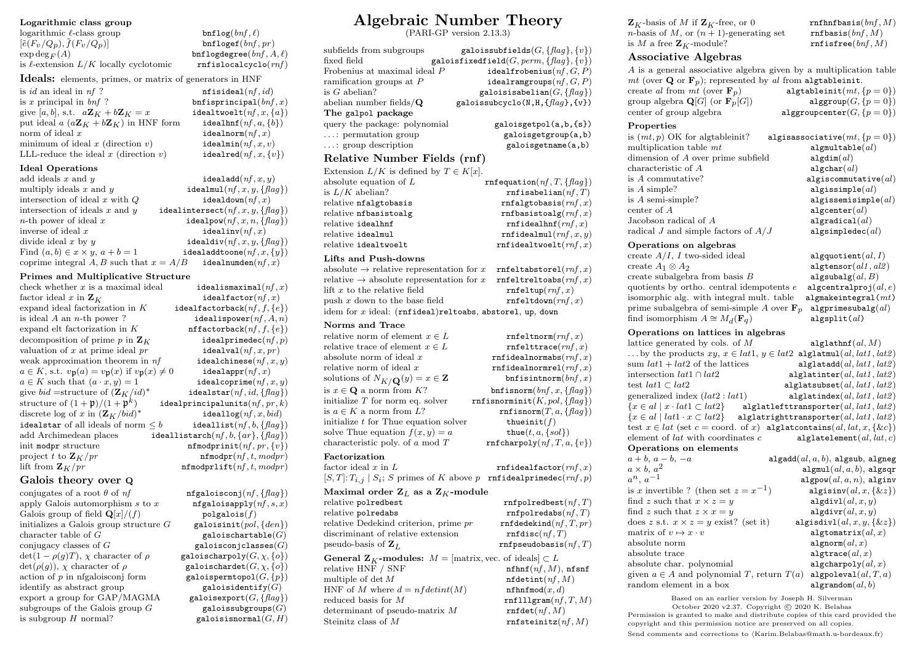#### Logarithmic class group

| $logarithmic \ell-class group$                                  | bnflog(bnf, l)                    |
|-----------------------------------------------------------------|-----------------------------------|
| $[\tilde{e}(F_v/Q_p), \tilde{f}(F_v/Q_p)]$                      | bnfloget(bnf, pr)                 |
| $\exp \deg F(A)$                                                | bnflogdegree $(bnf, A)$           |
| is $\ell$ -extension $L/K$ locally cyclotomic                   | $\texttt{rnf}$ islocalcyclo $(r)$ |
| <b>Ideals:</b> elements, primes, or matrix of generators in HNF |                                   |
| is <i>id</i> an ideal in $nf$ ?                                 | $\texttt{nfisideal}(nf, id)$      |
| is x principal in $bnf$ ?                                       | $bnf$ isprincipal $(bnf)$         |
| give [a, b], s.t. $a\mathbf{Z}_K + b\mathbf{Z}_K = x$           | idealtwoelt $(nf, x, \{$          |
| put ideal $a(a\mathbf{Z}_K + b\mathbf{Z}_K)$ in HNF form        | idealhnf $(nf, a, \{b\})$         |
| norm of ideal $x$                                               | $\mathtt{idealnorm}(nf, x)$       |
| minimum of ideal $x$ (direction $v$ )                           | idealmin $(nf, x, v)$             |
| LLL-reduce the ideal $x$ (direction $v$ )                       | idealred $(nf, x, \{v\})$         |
| <b>Ideal Operations</b>                                         |                                   |
| add ideals $x$ and $u$                                          | idealadd $(nf, x, y)$             |

| add ideals $x$ and $y$                     | idealadd $(nf, x, y)$                   |
|--------------------------------------------|-----------------------------------------|
| multiply ideals $x$ and $y$                | idealmul $(nf, x, y, \{flag\})$         |
| intersection of ideal $x$ with $Q$         | idealdown $(nf, x)$                     |
| intersection of ideals $x$ and $y$         | idealintersect $(nf, x, y, \{flag\})$   |
| <i>n</i> -th power of ideal $x$            | $\mathtt{idealpow}(nf, x, n, \{flag\})$ |
| inverse of ideal $x$                       | idealinv $(nf, x)$                      |
| divide ideal $x$ by $y$                    | $\mathtt{idealdiv}(nf, x, y, \{flag\})$ |
| Find $(a, b) \in x \times y$ , $a + b = 1$ | idealaddtoone $(nf, x, \{y\})$          |
| coprime integral A, B such that $x = A/B$  | idealnumden $(nf, x)$                   |

#### Primes and Multiplicative Structure

| check whether $x$ is a maximal ideal                                                         | idealismaximal $(nf, x)$                  |
|----------------------------------------------------------------------------------------------|-------------------------------------------|
| factor ideal x in $\mathbf{Z}_K$                                                             | $\mathtt{idealfactor}(nf, x)$             |
| expand ideal factorization in $K$                                                            | idealfactorback $(nf, f, \{e\})$          |
| is ideal $A$ an $n$ -th power?                                                               | idealispower $(nf, A, n)$                 |
| expand elt factorization in $K$                                                              | nffactorback $(nf, f, \{e\})$             |
| decomposition of prime p in $\mathbf{Z}_K$                                                   | idealprimedec $(nf, p)$                   |
| valuation of $x$ at prime ideal $pr$                                                         | idealval(nf, x, pr)                       |
| weak approximation theorem in $nf$                                                           | idealchinese $(nf, x, y)$                 |
| $a \in K$ , s.t. $v_{\mathfrak{p}}(a) = v_{\mathfrak{p}}(x)$ if $v_{\mathfrak{p}}(x) \neq 0$ | idealappr $(nf, x)$                       |
| $a \in K$ such that $(a \cdot x, y) = 1$                                                     | idealcoprime $(nf, x, y)$                 |
| give bid = structure of $({\bf Z}_K / id)^*$                                                 | idealstar $(nf, id, \{flag\})$            |
| structure of $(1+\mathfrak{p})/(1+\mathfrak{p}^k)$                                           | idealprincipalunits $(nf, pr, k)$         |
| discrete log of x in $(\mathbf{Z}_K/bid)^*$                                                  | $\mathtt{ideallog}(nf, x, bid)$           |
| idealstar of all ideals of norm $\leq b$                                                     | $\mathtt{ideallist}(nf, b, \{flag\})$     |
| add Archimedean places                                                                       | ideallistarch $(nf, b, \{ar\}, \{flag\})$ |
| init modpr structure                                                                         | $\texttt{nfmodprint}(nf, pr, \{v\})$      |
| project t to $\mathbf{Z}_K$ /pr                                                              | nfmodpr(nf, t, modpr)                     |
| lift from $\mathbf{Z}_K$ /pr                                                                 | nfmodprlift(nf, t, modpr)                 |
|                                                                                              |                                           |

### Galois theory over Q

conjugates of a root  $\theta$  of  $nf$  nfgaloisconj $(nf, \{flag\})$ apply Galois automorphism s to x  $\qquad \qquad$  nfgaloisapply(nf, s, x) Galois group of field  $\mathbf{Q}[x]/(f)$  polgalois(f) initializes a Galois group structure  $G$  galoisinit $(pol, \{den\})$ character table of  $G$  galoischartable( $G$ )<br>conjugacy classes of  $G$  galoisconjclasses( $G$ )  $det(1 - \rho(q)T)$ ,  $\chi$  character of  $\rho$  galoischarpoly( $G, \chi, \{o\}$ )  $det(\rho(g)), \chi$  character of  $\rho$  galoischardet( $G, \chi, \{o\}$ ) action of p in nfgaloisconj form galoispermtopol $(G, \{p\})$ <br>identify as abstract group galoisidentify  $(G)$ identify as abstract group<br>  $\begin{array}{ll}\n\text{galoisidentity}(G) \\
\text{export a group for GAP/MAGMA} \\
\text{galoisexport}(G, \{flag\})\n\end{array}$ export a group for  $GAP/MAGMA$ subgroups of the Galois group  $G$  galoissubgroups $(G)$ is subgroup H normal? galoisisnormal $(G, H)$ 

## $\mathbf{free}(\mathit{bnf}, A, \ell)$  $\text{calcyclo}(rnf)$ in HNF  $\mathtt{sal}(nf, id)$  $\mathsf{icival}(\mathit{bnf} \, x)$  $det(nf, x, \{a\})$  $\texttt{nf}(nf, a, \{b\})$  $\texttt{form}(nf, x)$  $\text{in}(nf, x, v)$ ed $(nf, x, \{v\})$

galoisconjclasses $(G)$ 

# Algebraic Number Theory

(PARI-GP version 2.13.3)

| subfields from subgroups                     | galoissubfields $(G, \{flag\}, \{v\})$         |
|----------------------------------------------|------------------------------------------------|
| fixed field                                  | galoisfixedfield(G, perm, $\{flag\}, \{v\}\$ ) |
| Frobenius at maximal ideal P                 | idealfrobenius $(nf, G, P)$                    |
| ramification groups at $P$                   | idealramgroups $(nf, G, P)$                    |
| is $G$ abelian?                              | galoisisabelian $(G, \{flag\})$                |
| abelian number fields/ $Q$                   | galoissubcyclo(N, H, $\{flag\}$ , $\{v\}$ )    |
| The galpol package                           |                                                |
| query the package: polynomial                | galoisgetpol(a,b,{s})                          |
| : permutation group                          | galoisgetgroup(a,b)                            |
| $\ldots$ : group description                 | galoisgetname(a,b)                             |
| Relative Number Fields (rnf)                 |                                                |
| Extension $L/K$ is defined by $T \in K[x]$ . |                                                |

| $\frac{1}{2}$            |                                      |
|--------------------------|--------------------------------------|
| absolute equation of $L$ | $rnf$ equation $(nf, T, \{flag\})$   |
| is $L/K$ abelian?        | $\texttt{rnf}$ isabelian $(nf, T)$   |
| relative nfalgtobasis    | rrfalgtobasis(rnf, x)                |
| relative nfbasistoalg    | $\texttt{rnfbas}$ istoalg $(rnf, x)$ |
| relative idealhnf        | rrfidealhnf(rnf, x)                  |
| relative idealmul        | rrfidealmul(rnf, x, y)               |
| relative idealtwoelt     | rrfidealtwoelt(rnf, x)               |

#### Lifts and Push-downs

| absolute $\rightarrow$ relative representation for x rnfeltabstorel( $rnf, x$ ) |                                           |
|---------------------------------------------------------------------------------|-------------------------------------------|
| relative $\rightarrow$ absolute representation for x                            | $\texttt{rnfeltreltoabs}(\textit{rnf},x)$ |
| lift $x$ to the relative field                                                  | $\texttt{rnfeltup}(m f, x)$               |
| push $x$ down to the base field                                                 | rrfeltdown(rnf, x)                        |
| idem for $x$ ideal: $(rn$ fideal)reltoabs, abstorel, up, down                   |                                           |

#### Norms and Trace

| inorms and trace                                                                 |                                                |
|----------------------------------------------------------------------------------|------------------------------------------------|
| relative norm of element $x \in L$                                               | $\texttt{rnfeltnorm}(rmf,x)$                   |
| relative trace of element $x \in L$                                              | $\texttt{rnfelttrace}(rnf, x)$                 |
| absolute norm of ideal $x$                                                       | $\texttt{rnfidealnormabs}(rnf, x)$             |
| relative norm of ideal $x$                                                       | $\texttt{rnfidealnormrel}(\textit{rnf},x)$     |
| solutions of $N_{K/\mathbf{Q}}(y) = x \in \mathbf{Z}$                            | bnfisintnorm $(bnf, x)$                        |
| is $x \in \mathbf{Q}$ a norm from K?                                             | $\texttt{bnfisnorm}(bnf, x, \{flag\})$         |
| initialize $T$ for norm eq. solver                                               | $\texttt{rnf}$ isnorminit $(K, pol, \{flag\})$ |
| is $a \in K$ a norm from L?                                                      | $\texttt{rnfisnorm}(T, a, \{flag\})$           |
| initialize $t$ for Thue equation solver                                          | thueinit( $f$ )                                |
| solve Thue equation $f(x, y) = a$                                                | thue $(t, a, \{sol\})$                         |
| characteristic poly. of $a \mod T$                                               | $\texttt{rnfcharpoly}(nf, T, a, \{v\})$        |
| $\rm Factorization$                                                              |                                                |
| factor ideal $x$ in $L$                                                          | $\texttt{rnfidealfactor}(rnf, x)$              |
| $[S, T]$ : $T_{i,j}$   $S_i$ ; S primes of K above p                             | $\texttt{rnfidealprimedec}(rnf, p)$            |
| Maximal order $\mathbf{Z}_L$ as a $\mathbf{Z}_K\text{-module}$                   |                                                |
| relative polredbest                                                              | $\texttt{rnfpolredbest}(nf, T)$                |
| relative polredabs                                                               | $\verb+rnfpolredabs+(nf,T)$                    |
| relative Dedekind criterion, prime pr                                            | $\texttt{rnfdedekind}(nf, T, pr)$              |
| discriminant of relative extension                                               | $\texttt{mfdisc}(\textit{nf}, T)$              |
| pseudo-basis of $\mathbf{Z}_{L}$                                                 | $\texttt{rnfpseudobasis}(nf, T)$               |
| <b>General Z<sub>K</sub>-modules:</b> $M =$ [matrix, vec. of ideals] $\subset L$ |                                                |
| relative HNF / SNF                                                               | $\operatorname{nfhnf}(nf, M)$ , nfsnf          |
| multiple of $\det M$                                                             | $\texttt{nfdetint}(nf, M)$                     |
| HNF of M where $d = nfdetint(M)$                                                 | $\texttt{nfhnfmod}(x,d)$                       |
| reduced basis for $M$                                                            | rrf111gram(nf, T, M)                           |
| determinant of pseudo-matrix M                                                   | $\texttt{rnfdet}(nf, M)$                       |
| Steinitz class of $M$                                                            | $\texttt{rnfsteinitz}(nf, M)$                  |

| $\mathbf{Z}_K$ -basis of M if $\mathbf{Z}_K$ -free, or 0 | $\texttt{rnfhnfbasis}(bnf, M)$ |
|----------------------------------------------------------|--------------------------------|
| <i>n</i> -basis of M, or $(n + 1)$ -generating set       | $\texttt{rnfbasis}(bnf, M)$    |
| is M a free $\mathbf{Z}_K$ -module?                      | $\texttt{rnfisfree}(bnf, M)$   |

#### Associative Algebras

A is a general associative algebra given by a multiplication table mt (over **Q** or **F**<sub>p</sub>); represented by al from algtableinit.<br>create al from mt (over **F**<sub>n</sub>) algtableinit $(mt, \{p = 0\})$ create al from  $m t$  (over  $\mathbf{F}_p$ ) algtableinit $(m t, {p = 0})$ <br>group algebra  $\mathbf{Q}[G]$  (or  $\mathbf{F}_p[G]$ ) alggroup $(G, {p = 0})$ group algebra  $\mathbf{Q}[G]$  (or  $\mathbf{F}_p[G]$ )<br>center of group algebra alggroupcenter $(G, {p = 0})$ 

#### Properties

| is $(mt, p)$ OK for algtableinit?       | algisassociative $(mt, \{p=0\})$ |
|-----------------------------------------|----------------------------------|
| multiplication table mt                 | $\texttt{algmultable}(al)$       |
| dimension of A over prime subfield      | $\texttt{algdim}(al)$            |
| characteristic of A                     | algebra al)                      |
| is A commutative?                       | algiscommutative $(al)$          |
| is $A$ simple?                          | $\mathtt{algissimple}(al)$       |
| is $A$ semi-simple?                     | algissemisimple $(al)$           |
| center of $A$                           | algebra(c)                       |
| Jacobson radical of A                   | algradical $(al)$                |
| radical $J$ and simple factors of $A/J$ | $\mathtt{algsimpledec}(al)$      |

#### Operations on algebras

create  $A/I$ , I two-sided ideal algquotient $(al, I)$ create  $A_1 \otimes A_2$  algtensor(al1, al2)<br>create subalgebra from basis B algsubalg(al, B) create subalgebra from basis B algsubalg( $al, B$ )<br>quotients by ortho. central idempotents e algcentralproj( $al, e$ ) quotients by ortho. central idempotents  $e$ isomorphic alg. with integral mult. table  $\alpha$  algmakeintegral $(mt)$ prime subalgebra of semi-simple A over  $\mathbf{F}_n$  algprimesubalg(al) find isomorphism  $A \cong M_d(\mathbf{F}_q)$ 

```
algsplit(al)
```
#### Operations on lattices in algebras

lattice generated by cols. of  $M$  alglathnf(al, M) ... by the products  $xy, x \in lat1, y \in lat2$  alglatmul(al, lat1, lat2) sum  $lat1 + lat2$  of the lattices alglatadd(al, lat1, lat2)<br>intersection  $lat1 \cap lat2$  alglatinter(al, lat1, lat2) intersection  $lat1 \cap lat2$  alglatinter(al, lat1, lat2)<br>test lat1 ⊂ lat2 alglatsubset(al, lat1, lat2)  $alg$ latsubset $(al, lat1, lat2)$ generalized index  $(lat2 : lat1)$  alglatindex $(al, lat1, lat2)$  ${x \in al | x \cdot lat1 \subset lat2}$  alglatlefttransporter(al, lat1, lat2)  ${x \in al | lat1 \cdot x \subset lat2}$  alglatrighttransporter(al, lat1, lat2) test  $x \in lat$  (set  $c = coord$ . of x) alglatcontains(al, lat, x, {&c}) element of *lat* with coordinates c alglatelement(al,  $lat, c$ )

#### Operations on elements

| $a+b, a-b, -a$                                  | $\mathtt{algadd}(al, a, b), \mathtt{algsub}, \mathtt{algneg}$ |
|-------------------------------------------------|---------------------------------------------------------------|
| $a \times b$ , $a^2$                            | $\texttt{algmul}(al, a, b)$ , algsqr                          |
| $a^n$ , $a^{-1}$                                | $\texttt{algpow}(al, a, n)$ , alginv                          |
| is x invertible ? (then set $z = x^{-1}$ )      | $\texttt{algisinv}(al, x, \{\& z\})$                          |
| find z such that $x \times z = y$               | $\texttt{algdivl}(al, x, y)$                                  |
| find z such that $z \times x = y$               | $\texttt{algdivr}(al, x, y)$                                  |
| does z s.t. $x \times z = y$ exist? (set it)    | $\texttt{algisdivl}(al, x, y, \{\& z\})$                      |
| matrix of $v \mapsto x \cdot v$                 | algtomatrix $(al, x)$                                         |
| absolute norm                                   | algnorm $(al, x)$                                             |
| absolute trace                                  | $\texttt{algrrace}(al, x)$                                    |
| absolute char. polynomial                       | algcharpoly $(al, x)$                                         |
| given $a \in A$ and polynomial T, return $T(a)$ | algpoleval $(al,T,a)$                                         |
| random element in a box                         | algrandom $(al, b)$                                           |
|                                                 |                                                               |

Based on an earlier version by Joseph H. Silverman October 2020 v2.37. Copyright © 2020 K. Belabas Permission is granted to make and distribute copies of this card provided the copyright and this permission notice are preserved on all copies. Send comments and corrections to (Karim.Belabas@math.u-bordeaux.fr)